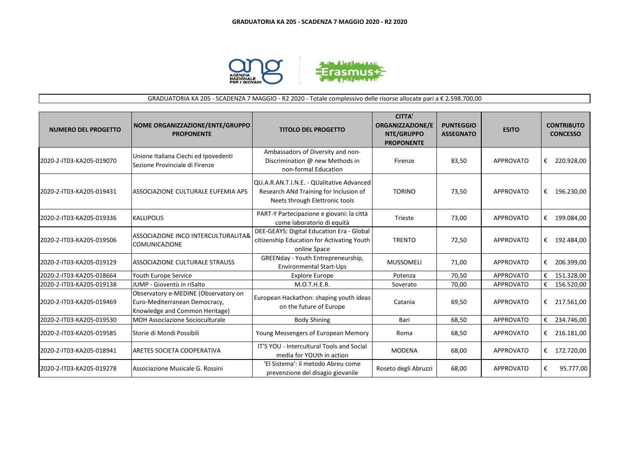

## GRADUATORIA KA 205 - SCADENZA 7 MAGGIO - R2 2020 - Totale complessivo delle risorse allocate pari a € 2.598.700,00

| <b>NUMERO DEL PROGETTO</b> | NOME ORGANIZZAZIONE/ENTE/GRUPPO<br><b>PROPONENTE</b>                                                    | <b>TITOLO DEL PROGETTO</b>                                                                                            | <b>CITTA'</b><br><b>ORGANIZZAZIONE/E</b><br><b>NTE/GRUPPO</b><br><b>PROPONENTE</b> | <b>PUNTEGGIO</b><br><b>ASSEGNATO</b> | <b>ESITO</b>     | <b>CONTRIBUTO</b><br><b>CONCESSO</b> |
|----------------------------|---------------------------------------------------------------------------------------------------------|-----------------------------------------------------------------------------------------------------------------------|------------------------------------------------------------------------------------|--------------------------------------|------------------|--------------------------------------|
| 2020-2-IT03-KA205-019070   | Unione Italiana Ciechi ed Ipovedenti<br>Sezione Provinciale di Firenze                                  | Ambassadors of Diversity and non-<br>Discrimination @ new Methods in<br>non-formal Education                          | Firenze                                                                            | 83,50                                | <b>APPROVATO</b> | €<br>220.928,00                      |
| 2020-2-IT03-KA205-019431   | ASSOCIAZIONE CULTURALE EUFEMIA APS                                                                      | QU.A.R.AN.T.I.N.E. - QUalitative Advanced<br>Research ANd Training for Inclusion of<br>Neets through Elettronic tools | <b>TORINO</b>                                                                      | 73,50                                | <b>APPROVATO</b> | 196.230,00<br>€                      |
| 2020-2-IT03-KA205-019336   | <b>KALLIPOLIS</b>                                                                                       | PART-Y Partecipazione e giovani: la città<br>come laboratorio di equità                                               | Trieste                                                                            | 73,00                                | <b>APPROVATO</b> | €<br>199.084,00                      |
| 2020-2-IT03-KA205-019506   | ASSOCIAZIONE INCO INTERCULTURALITA&<br><b>COMUNICAZIONE</b>                                             | DEE-GEAYS: Digital Education Era - Global<br>citizenship Education for Activating Youth<br>online Space               | <b>TRENTO</b>                                                                      | 72,50                                | <b>APPROVATO</b> | €<br>192.484,00                      |
| 2020-2-IT03-KA205-019129   | ASSOCIAZIONE CULTURALE STRAUSS                                                                          | GREENday - Youth Entrepreneurship,<br><b>Environmental Start-Ups</b>                                                  | <b>MUSSOMELI</b>                                                                   | 71,00                                | <b>APPROVATO</b> | €<br>206.399,00                      |
| 2020-2-IT03-KA205-018664   | Youth Europe Service                                                                                    | <b>Explore Europe</b>                                                                                                 | Potenza                                                                            | 70,50                                | <b>APPROVATO</b> | 151.328,00<br>€                      |
| 2020-2-IT03-KA205-019138   | JUMP - Gioventù in riSalto                                                                              | M.O.T.H.E.R.                                                                                                          | Soverato                                                                           | 70,00                                | <b>APPROVATO</b> | €<br>156.520,00                      |
| 2020-2-IT03-KA205-019469   | Observatory e-MEDINE (Observatory on<br>Euro-Mediterranean Democracy,<br>Knowledge and Common Heritage) | European Hackathon: shaping youth ideas<br>on the future of Europe                                                    | Catania                                                                            | 69,50                                | <b>APPROVATO</b> | € 217.561,00                         |
| 2020-2-IT03-KA205-019530   | <b>MOH Associazione Socioculturale</b>                                                                  | <b>Body Shining</b>                                                                                                   | Bari                                                                               | 68,50                                | <b>APPROVATO</b> | €<br>234.746,00                      |
| 2020-2-IT03-KA205-019585   | Storie di Mondi Possibili                                                                               | Young Messengers of European Memory                                                                                   | Roma                                                                               | 68,50                                | <b>APPROVATO</b> | €<br>216.181,00                      |
| 2020-2-IT03-KA205-018941   | ARETES SOCIETA COOPERATIVA                                                                              | IT'S YOU - Intercultural Tools and Social<br>media for YOUth in action                                                | <b>MODENA</b>                                                                      | 68,00                                | <b>APPROVATO</b> | 172.720,00<br>€                      |
| 2020-2-IT03-KA205-019278   | Associazione Musicale G. Rossini                                                                        | 'El Sistema': il metodo Abreu come<br>prevenzione del disagio giovanile                                               | Roseto degli Abruzzi                                                               | 68,00                                | <b>APPROVATO</b> | €<br>95.777,00                       |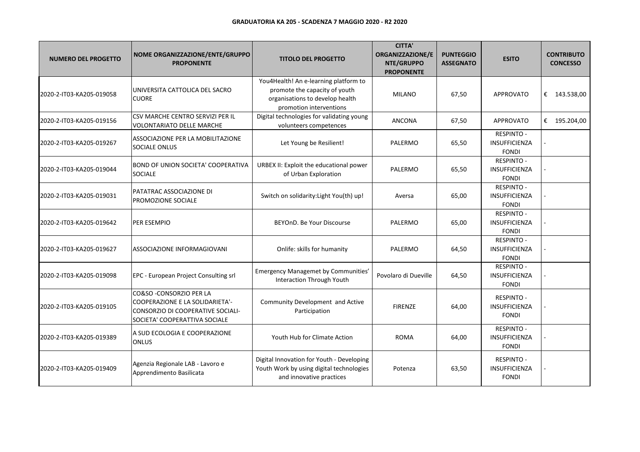| <b>NUMERO DEL PROGETTO</b> | NOME ORGANIZZAZIONE/ENTE/GRUPPO<br><b>PROPONENTE</b>                                                                                     | <b>TITOLO DEL PROGETTO</b>                                                                                                           | <b>CITTA'</b><br><b>ORGANIZZAZIONE/E</b><br>NTE/GRUPPO<br><b>PROPONENTE</b> | <b>PUNTEGGIO</b><br><b>ASSEGNATO</b> | <b>ESITO</b>                                              | <b>CONTRIBUTO</b><br><b>CONCESSO</b> |
|----------------------------|------------------------------------------------------------------------------------------------------------------------------------------|--------------------------------------------------------------------------------------------------------------------------------------|-----------------------------------------------------------------------------|--------------------------------------|-----------------------------------------------------------|--------------------------------------|
| 2020-2-IT03-KA205-019058   | UNIVERSITA CATTOLICA DEL SACRO<br><b>CUORE</b>                                                                                           | You4Health! An e-learning platform to<br>promote the capacity of youth<br>organisations to develop health<br>promotion interventions | <b>MILANO</b>                                                               | 67,50                                | <b>APPROVATO</b>                                          | € $143.538,00$                       |
| 2020-2-IT03-KA205-019156   | CSV MARCHE CENTRO SERVIZI PER IL<br><b>VOLONTARIATO DELLE MARCHE</b>                                                                     | Digital technologies for validating young<br>volunteers competences                                                                  | <b>ANCONA</b>                                                               | 67,50                                | <b>APPROVATO</b>                                          | € 195.204,00                         |
| 2020-2-IT03-KA205-019267   | ASSOCIAZIONE PER LA MOBILITAZIONE<br>SOCIALE ONLUS                                                                                       | Let Young be Resilient!                                                                                                              | PALERMO                                                                     | 65,50                                | <b>RESPINTO -</b><br>INSUFFICIENZA<br><b>FONDI</b>        |                                      |
| 2020-2-IT03-KA205-019044   | BOND OF UNION SOCIETA' COOPERATIVA<br><b>SOCIALE</b>                                                                                     | URBEX II: Exploit the educational power<br>of Urban Exploration                                                                      | PALERMO                                                                     | 65,50                                | RESPINTO -<br>INSUFFICIENZA<br><b>FONDI</b>               |                                      |
| 2020-2-IT03-KA205-019031   | PATATRAC ASSOCIAZIONE DI<br>PROMOZIONE SOCIALE                                                                                           | Switch on solidarity: Light You(th) up!                                                                                              | Aversa                                                                      | 65,00                                | RESPINTO -<br><b>INSUFFICIENZA</b><br><b>FONDI</b>        |                                      |
| 2020-2-IT03-KA205-019642   | PER ESEMPIO                                                                                                                              | BEYOnD. Be Your Discourse                                                                                                            | PALERMO                                                                     | 65,00                                | <b>RESPINTO -</b><br>INSUFFICIENZA<br><b>FONDI</b>        |                                      |
| 2020-2-IT03-KA205-019627   | ASSOCIAZIONE INFORMAGIOVANI                                                                                                              | Onlife: skills for humanity                                                                                                          | PALERMO                                                                     | 64,50                                | RESPINTO -<br><b>INSUFFICIENZA</b><br><b>FONDI</b>        |                                      |
| 2020-2-IT03-KA205-019098   | EPC - European Project Consulting srl                                                                                                    | Emergency Managemet by Communities'<br><b>Interaction Through Youth</b>                                                              | Povolaro di Dueville                                                        | 64,50                                | <b>RESPINTO -</b><br>INSUFFICIENZA<br><b>FONDI</b>        |                                      |
| 2020-2-IT03-KA205-019105   | CO&SO - CONSORZIO PER LA<br><b>COOPERAZIONE E LA SOLIDARIETA'-</b><br>CONSORZIO DI COOPERATIVE SOCIALI-<br>SOCIETA' COOPERATTIVA SOCIALE | Community Development and Active<br>Participation                                                                                    | <b>FIRENZE</b>                                                              | 64,00                                | <b>RESPINTO -</b><br><b>INSUFFICIENZA</b><br><b>FONDI</b> |                                      |
| 2020-2-IT03-KA205-019389   | A SUD ECOLOGIA E COOPERAZIONE<br><b>ONLUS</b>                                                                                            | Youth Hub for Climate Action                                                                                                         | <b>ROMA</b>                                                                 | 64,00                                | <b>RESPINTO -</b><br>INSUFFICIENZA<br><b>FONDI</b>        |                                      |
| 2020-2-IT03-KA205-019409   | Agenzia Regionale LAB - Lavoro e<br>Apprendimento Basilicata                                                                             | Digital Innovation for Youth - Developing<br>Youth Work by using digital technologies<br>and innovative practices                    | Potenza                                                                     | 63,50                                | <b>RESPINTO -</b><br>INSUFFICIENZA<br><b>FONDI</b>        |                                      |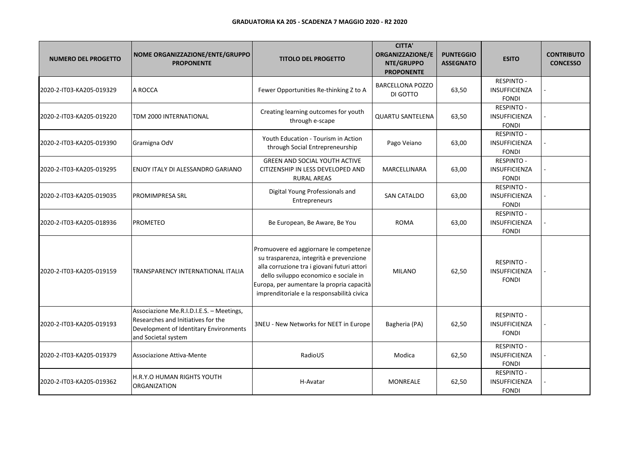| <b>NUMERO DEL PROGETTO</b> | NOME ORGANIZZAZIONE/ENTE/GRUPPO<br><b>PROPONENTE</b>                                                                                            | <b>TITOLO DEL PROGETTO</b>                                                                                                                                                                                                                                           | <b>CITTA'</b><br>ORGANIZZAZIONE/E<br>NTE/GRUPPO<br><b>PROPONENTE</b> | <b>PUNTEGGIO</b><br><b>ASSEGNATO</b> | <b>ESITO</b>                                              | <b>CONTRIBUTO</b><br><b>CONCESSO</b> |
|----------------------------|-------------------------------------------------------------------------------------------------------------------------------------------------|----------------------------------------------------------------------------------------------------------------------------------------------------------------------------------------------------------------------------------------------------------------------|----------------------------------------------------------------------|--------------------------------------|-----------------------------------------------------------|--------------------------------------|
| 2020-2-IT03-KA205-019329   | A ROCCA                                                                                                                                         | Fewer Opportunities Re-thinking Z to A                                                                                                                                                                                                                               | <b>BARCELLONA POZZO</b><br>DI GOTTO                                  | 63,50                                | <b>RESPINTO -</b><br>INSUFFICIENZA<br><b>FONDI</b>        |                                      |
| 2020-2-IT03-KA205-019220   | TDM 2000 INTERNATIONAL                                                                                                                          | Creating learning outcomes for youth<br>through e-scape                                                                                                                                                                                                              | <b>QUARTU SANTELENA</b>                                              | 63,50                                | RESPINTO -<br>INSUFFICIENZA<br><b>FONDI</b>               |                                      |
| 2020-2-IT03-KA205-019390   | Gramigna OdV                                                                                                                                    | Youth Education - Tourism in Action<br>through Social Entrepreneurship                                                                                                                                                                                               | Pago Veiano                                                          | 63,00                                | <b>RESPINTO -</b><br>INSUFFICIENZA<br><b>FONDI</b>        |                                      |
| 2020-2-IT03-KA205-019295   | ENJOY ITALY DI ALESSANDRO GARIANO                                                                                                               | <b>GREEN AND SOCIAL YOUTH ACTIVE</b><br>CITIZENSHIP IN LESS DEVELOPED AND<br><b>RURAL AREAS</b>                                                                                                                                                                      | MARCELLINARA                                                         | 63,00                                | <b>RESPINTO -</b><br>INSUFFICIENZA<br><b>FONDI</b>        |                                      |
| 2020-2-IT03-KA205-019035   | PROMIMPRESA SRL                                                                                                                                 | Digital Young Professionals and<br>Entrepreneurs                                                                                                                                                                                                                     | <b>SAN CATALDO</b>                                                   | 63,00                                | <b>RESPINTO -</b><br>INSUFFICIENZA<br><b>FONDI</b>        |                                      |
| 2020-2-IT03-KA205-018936   | <b>PROMETEO</b>                                                                                                                                 | Be European, Be Aware, Be You                                                                                                                                                                                                                                        | <b>ROMA</b>                                                          | 63,00                                | <b>RESPINTO -</b><br><b>INSUFFICIENZA</b><br><b>FONDI</b> |                                      |
| 2020-2-IT03-KA205-019159   | <b>TRANSPARENCY INTERNATIONAL ITALIA</b>                                                                                                        | Promuovere ed aggiornare le competenze<br>su trasparenza, integrità e prevenzione<br>alla corruzione tra i giovani futuri attori<br>dello sviluppo economico e sociale in<br>Europa, per aumentare la propria capacità<br>imprenditoriale e la responsabilità civica | <b>MILANO</b>                                                        | 62,50                                | <b>RESPINTO -</b><br><b>INSUFFICIENZA</b><br><b>FONDI</b> |                                      |
| 2020-2-IT03-KA205-019193   | Associazione Me.R.I.D.I.E.S. - Meetings,<br>Researches and Initiatives for the<br>Development of Identitary Environments<br>and Societal system | 3NEU - New Networks for NEET in Europe                                                                                                                                                                                                                               | Bagheria (PA)                                                        | 62,50                                | RESPINTO -<br><b>INSUFFICIENZA</b><br><b>FONDI</b>        |                                      |
| 2020-2-IT03-KA205-019379   | Associazione Attiva-Mente                                                                                                                       | RadioUS                                                                                                                                                                                                                                                              | Modica                                                               | 62,50                                | <b>RESPINTO -</b><br><b>INSUFFICIENZA</b><br><b>FONDI</b> |                                      |
| 2020-2-IT03-KA205-019362   | H.R.Y.O HUMAN RIGHTS YOUTH<br><b>ORGANIZATION</b>                                                                                               | H-Avatar                                                                                                                                                                                                                                                             | MONREALE                                                             | 62,50                                | <b>RESPINTO -</b><br>INSUFFICIENZA<br><b>FONDI</b>        |                                      |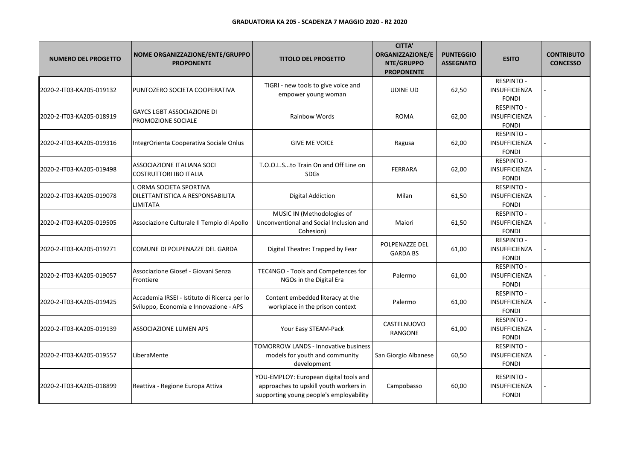| <b>NUMERO DEL PROGETTO</b> | NOME ORGANIZZAZIONE/ENTE/GRUPPO<br><b>PROPONENTE</b>                                   | <b>TITOLO DEL PROGETTO</b>                                                                                                  | <b>CITTA'</b><br><b>ORGANIZZAZIONE/E</b><br>NTE/GRUPPO<br><b>PROPONENTE</b> | <b>PUNTEGGIO</b><br><b>ASSEGNATO</b> | <b>ESITO</b>                                              | <b>CONTRIBUTO</b><br><b>CONCESSO</b> |
|----------------------------|----------------------------------------------------------------------------------------|-----------------------------------------------------------------------------------------------------------------------------|-----------------------------------------------------------------------------|--------------------------------------|-----------------------------------------------------------|--------------------------------------|
| 2020-2-IT03-KA205-019132   | PUNTOZERO SOCIETA COOPERATIVA                                                          | TIGRI - new tools to give voice and<br>empower young woman                                                                  | <b>UDINE UD</b>                                                             | 62,50                                | <b>RESPINTO -</b><br>INSUFFICIENZA<br><b>FONDI</b>        |                                      |
| 2020-2-IT03-KA205-018919   | <b>GAYCS LGBT ASSOCIAZIONE DI</b><br>PROMOZIONE SOCIALE                                | <b>Rainbow Words</b>                                                                                                        | <b>ROMA</b>                                                                 | 62,00                                | <b>RESPINTO -</b><br><b>INSUFFICIENZA</b><br><b>FONDI</b> |                                      |
| 2020-2-IT03-KA205-019316   | IntegrOrienta Cooperativa Sociale Onlus                                                | <b>GIVE ME VOICE</b>                                                                                                        | Ragusa                                                                      | 62,00                                | <b>RESPINTO -</b><br>INSUFFICIENZA<br><b>FONDI</b>        |                                      |
| 2020-2-IT03-KA205-019498   | ASSOCIAZIONE ITALIANA SOCI<br><b>COSTRUTTORI IBO ITALIA</b>                            | T.O.O.L.Sto Train On and Off Line on<br><b>SDGs</b>                                                                         | <b>FERRARA</b>                                                              | 62,00                                | <b>RESPINTO -</b><br>INSUFFICIENZA<br><b>FONDI</b>        |                                      |
| 2020-2-IT03-KA205-019078   | . ORMA SOCIETA SPORTIVA<br>DILETTANTISTICA A RESPONSABILITA<br>LIMITATA                | <b>Digital Addiction</b>                                                                                                    | Milan                                                                       | 61,50                                | <b>RESPINTO -</b><br><b>INSUFFICIENZA</b><br><b>FONDI</b> |                                      |
| 2020-2-IT03-KA205-019505   | Associazione Culturale Il Tempio di Apollo                                             | MUSIC IN (Methodologies of<br>Unconventional and Social Inclusion and<br>Cohesion)                                          | Maiori                                                                      | 61,50                                | <b>RESPINTO -</b><br><b>INSUFFICIENZA</b><br><b>FONDI</b> |                                      |
| 2020-2-IT03-KA205-019271   | COMUNE DI POLPENAZZE DEL GARDA                                                         | Digital Theatre: Trapped by Fear                                                                                            | POLPENAZZE DEL<br><b>GARDA BS</b>                                           | 61,00                                | <b>RESPINTO -</b><br>INSUFFICIENZA<br><b>FONDI</b>        |                                      |
| 2020-2-IT03-KA205-019057   | Associazione Giosef - Giovani Senza<br>Frontiere                                       | TEC4NGO - Tools and Competences for<br>NGOs in the Digital Era                                                              | Palermo                                                                     | 61,00                                | RESPINTO -<br><b>INSUFFICIENZA</b><br><b>FONDI</b>        |                                      |
| 2020-2-IT03-KA205-019425   | Accademia IRSEI - Istituto di Ricerca per lo<br>Sviluppo, Economia e Innovazione - APS | Content embedded literacy at the<br>workplace in the prison context                                                         | Palermo                                                                     | 61,00                                | <b>RESPINTO -</b><br><b>INSUFFICIENZA</b><br><b>FONDI</b> |                                      |
| 2020-2-IT03-KA205-019139   | ASSOCIAZIONE LUMEN APS                                                                 | Your Easy STEAM-Pack                                                                                                        | CASTELNUOVO<br>RANGONE                                                      | 61,00                                | <b>RESPINTO -</b><br><b>INSUFFICIENZA</b><br><b>FONDI</b> |                                      |
| 2020-2-IT03-KA205-019557   | LiberaMente                                                                            | TOMORROW LANDS - Innovative business<br>models for youth and community<br>development                                       | San Giorgio Albanese                                                        | 60,50                                | <b>RESPINTO -</b><br><b>INSUFFICIENZA</b><br><b>FONDI</b> |                                      |
| 2020-2-IT03-KA205-018899   | Reattiva - Regione Europa Attiva                                                       | YOU-EMPLOY: European digital tools and<br>approaches to upskill youth workers in<br>supporting young people's employability | Campobasso                                                                  | 60,00                                | <b>RESPINTO -</b><br><b>INSUFFICIENZA</b><br><b>FONDI</b> |                                      |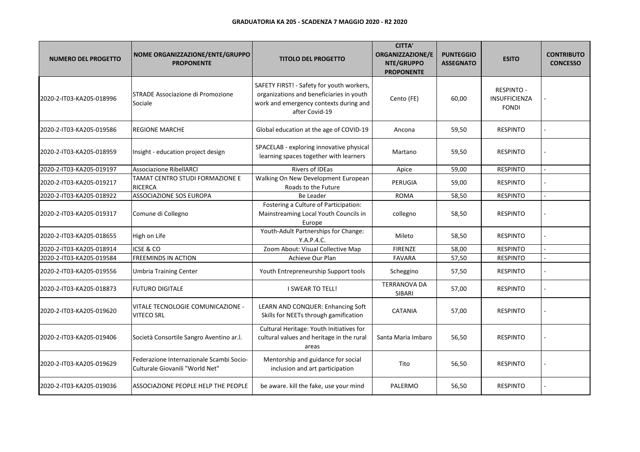| <b>NUMERO DEL PROGETTO</b> | NOME ORGANIZZAZIONE/ENTE/GRUPPO<br><b>PROPONENTE</b>                        | <b>TITOLO DEL PROGETTO</b>                                                                                                                        | <b>CITTA'</b><br>ORGANIZZAZIONE/E<br>NTE/GRUPPO<br><b>PROPONENTE</b> | <b>PUNTEGGIO</b><br><b>ASSEGNATO</b> | <b>ESITO</b>                                              | <b>CONTRIBUTO</b><br><b>CONCESSO</b> |
|----------------------------|-----------------------------------------------------------------------------|---------------------------------------------------------------------------------------------------------------------------------------------------|----------------------------------------------------------------------|--------------------------------------|-----------------------------------------------------------|--------------------------------------|
| 2020-2-IT03-KA205-018996   | STRADE Associazione di Promozione<br>Sociale                                | SAFETY FIRST! - Safety for youth workers,<br>organizations and beneficiaries in youth<br>work and emergency contexts during and<br>after Covid-19 | Cento (FE)                                                           | 60,00                                | <b>RESPINTO -</b><br><b>INSUFFICIENZA</b><br><b>FONDI</b> |                                      |
| 2020-2-IT03-KA205-019586   | <b>REGIONE MARCHE</b>                                                       | Global education at the age of COVID-19                                                                                                           | Ancona                                                               | 59,50                                | <b>RESPINTO</b>                                           |                                      |
| 2020-2-IT03-KA205-018959   | Insight - education project design                                          | SPACELAB - exploring innovative physical<br>learning spaces together with learners                                                                | Martano                                                              | 59,50                                | <b>RESPINTO</b>                                           |                                      |
| 2020-2-IT03-KA205-019197   | <b>Associazione RibellARCI</b>                                              | Rivers of IDEas                                                                                                                                   | Apice                                                                | 59,00                                | <b>RESPINTO</b>                                           |                                      |
| 2020-2-IT03-KA205-019217   | TAMAT CENTRO STUDI FORMAZIONE E<br><b>RICERCA</b>                           | Walking On New Development European<br>Roads to the Future                                                                                        | <b>PERUGIA</b>                                                       | 59,00                                | <b>RESPINTO</b>                                           |                                      |
| 2020-2-IT03-KA205-018922   | <b>ASSOCIAZIONE SOS EUROPA</b>                                              | <b>Be Leader</b>                                                                                                                                  | <b>ROMA</b>                                                          | 58,50                                | <b>RESPINTO</b>                                           |                                      |
| 2020-2-IT03-KA205-019317   | Comune di Collegno                                                          | Fostering a Culture of Participation:<br>Mainstreaming Local Youth Councils in<br>Europe                                                          | collegno                                                             | 58,50                                | <b>RESPINTO</b>                                           |                                      |
| 2020-2-IT03-KA205-018655   | High on Life                                                                | Youth-Adult Partnerships for Change:<br>Y.A.P.4.C.                                                                                                | Mileto                                                               | 58,50                                | <b>RESPINTO</b>                                           |                                      |
| 2020-2-IT03-KA205-018914   | ICSE & CO                                                                   | Zoom About: Visual Collective Map                                                                                                                 | <b>FIRENZE</b>                                                       | 58,00                                | <b>RESPINTO</b>                                           |                                      |
| 2020-2-IT03-KA205-019584   | <b>FREEMINDS IN ACTION</b>                                                  | Achieve Our Plan                                                                                                                                  | <b>FAVARA</b>                                                        | 57,50                                | <b>RESPINTO</b>                                           |                                      |
| 2020-2-IT03-KA205-019556   | <b>Umbria Training Center</b>                                               | Youth Entrepreneurship Support tools                                                                                                              | Scheggino                                                            | 57,50                                | <b>RESPINTO</b>                                           |                                      |
| 2020-2-IT03-KA205-018873   | <b>FUTURO DIGITALE</b>                                                      | <b>I SWEAR TO TELL!</b>                                                                                                                           | <b>TERRANOVA DA</b><br>SIBARI                                        | 57,00                                | <b>RESPINTO</b>                                           |                                      |
| 2020-2-IT03-KA205-019620   | VITALE TECNOLOGIE COMUNICAZIONE -<br>VITECO SRL                             | LEARN AND CONQUER: Enhancing Soft<br>Skills for NEETs through gamification                                                                        | <b>CATANIA</b>                                                       | 57,00                                | <b>RESPINTO</b>                                           |                                      |
| 2020-2-IT03-KA205-019406   | Società Consortile Sangro Aventino ar.l.                                    | Cultural Heritage: Youth Initiatives for<br>cultural values and heritage in the rural<br>areas                                                    | Santa Maria Imbaro                                                   | 56,50                                | <b>RESPINTO</b>                                           |                                      |
| 2020-2-IT03-KA205-019629   | Federazione Internazionale Scambi Socio-<br>Culturale Giovanili "World Net" | Mentorship and guidance for social<br>inclusion and art participation                                                                             | Tito                                                                 | 56,50                                | <b>RESPINTO</b>                                           |                                      |
| 2020-2-IT03-KA205-019036   | ASSOCIAZIONE PEOPLE HELP THE PEOPLE                                         | be aware. kill the fake, use your mind                                                                                                            | PALERMO                                                              | 56,50                                | <b>RESPINTO</b>                                           |                                      |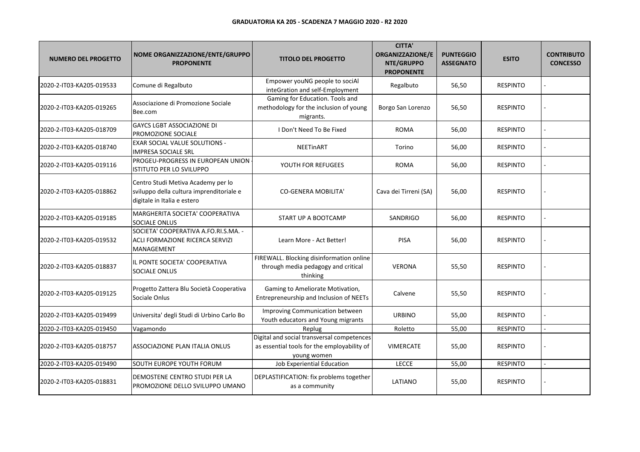| <b>NUMERO DEL PROGETTO</b> | NOME ORGANIZZAZIONE/ENTE/GRUPPO<br><b>PROPONENTE</b>                                                          | <b>TITOLO DEL PROGETTO</b>                                                                               | <b>CITTA'</b><br>ORGANIZZAZIONE/E<br>NTE/GRUPPO<br><b>PROPONENTE</b> | <b>PUNTEGGIO</b><br><b>ASSEGNATO</b> | <b>ESITO</b>    | <b>CONTRIBUTO</b><br><b>CONCESSO</b> |
|----------------------------|---------------------------------------------------------------------------------------------------------------|----------------------------------------------------------------------------------------------------------|----------------------------------------------------------------------|--------------------------------------|-----------------|--------------------------------------|
| 2020-2-IT03-KA205-019533   | Comune di Regalbuto                                                                                           | Empower youNG people to sociAl<br>inteGration and self-Employment                                        | Regalbuto                                                            | 56,50                                | <b>RESPINTO</b> |                                      |
| 2020-2-IT03-KA205-019265   | Associazione di Promozione Sociale<br>Bee.com                                                                 | Gaming for Education. Tools and<br>methodology for the inclusion of young<br>migrants.                   | Borgo San Lorenzo                                                    | 56,50                                | <b>RESPINTO</b> |                                      |
| 2020-2-IT03-KA205-018709   | <b>GAYCS LGBT ASSOCIAZIONE DI</b><br>PROMOZIONE SOCIALE                                                       | I Don't Need To Be Fixed                                                                                 | <b>ROMA</b>                                                          | 56,00                                | <b>RESPINTO</b> |                                      |
| 2020-2-IT03-KA205-018740   | <b>EXAR SOCIAL VALUE SOLUTIONS -</b><br><b>IMPRESA SOCIALE SRL</b>                                            | <b>NEETinART</b>                                                                                         | Torino                                                               | 56,00                                | <b>RESPINTO</b> |                                      |
| 2020-2-IT03-KA205-019116   | PROGEU-PROGRESS IN EUROPEAN UNION<br>ISTITUTO PER LO SVILUPPO                                                 | YOUTH FOR REFUGEES                                                                                       | <b>ROMA</b>                                                          | 56,00                                | <b>RESPINTO</b> |                                      |
| 2020-2-IT03-KA205-018862   | Centro Studi Metiva Academy per lo<br>sviluppo della cultura imprenditoriale e<br>digitale in Italia e estero | <b>CO-GENERA MOBILITA'</b>                                                                               | Cava dei Tirreni (SA)                                                | 56,00                                | <b>RESPINTO</b> |                                      |
| 2020-2-IT03-KA205-019185   | MARGHERITA SOCIETA' COOPERATIVA<br>SOCIALE ONLUS                                                              | START UP A BOOTCAMP                                                                                      | <b>SANDRIGO</b>                                                      | 56,00                                | <b>RESPINTO</b> |                                      |
| 2020-2-IT03-KA205-019532   | SOCIETA' COOPERATIVA A.FO.RI.S.MA. -<br>ACLI FORMAZIONE RICERCA SERVIZI<br>MANAGEMENT                         | Learn More - Act Better!                                                                                 | <b>PISA</b>                                                          | 56,00                                | <b>RESPINTO</b> |                                      |
| 2020-2-IT03-KA205-018837   | IL PONTE SOCIETA' COOPERATIVA<br>SOCIALE ONLUS                                                                | FIREWALL. Blocking disinformation online<br>through media pedagogy and critical<br>thinking              | <b>VERONA</b>                                                        | 55,50                                | <b>RESPINTO</b> |                                      |
| 2020-2-IT03-KA205-019125   | Progetto Zattera Blu Società Cooperativa<br>Sociale Onlus                                                     | Gaming to Ameliorate Motivation,<br>Entrepreneurship and Inclusion of NEETs                              | Calvene                                                              | 55,50                                | <b>RESPINTO</b> |                                      |
| 2020-2-IT03-KA205-019499   | Universita' degli Studi di Urbino Carlo Bo                                                                    | Improving Communication between<br>Youth educators and Young migrants                                    | <b>URBINO</b>                                                        | 55,00                                | <b>RESPINTO</b> |                                      |
| 2020-2-IT03-KA205-019450   | Vagamondo                                                                                                     | Replug                                                                                                   | Roletto                                                              | 55,00                                | <b>RESPINTO</b> |                                      |
| 2020-2-IT03-KA205-018757   | ASSOCIAZIONE PLAN ITALIA ONLUS                                                                                | Digital and social transversal competences<br>as essential tools for the employability of<br>young women | <b>VIMERCATE</b>                                                     | 55,00                                | <b>RESPINTO</b> |                                      |
| 2020-2-IT03-KA205-019490   | SOUTH EUROPE YOUTH FORUM                                                                                      | Job Experiential Education                                                                               | LECCE                                                                | 55,00                                | <b>RESPINTO</b> |                                      |
| 2020-2-IT03-KA205-018831   | DEMOSTENE CENTRO STUDI PER LA<br>PROMOZIONE DELLO SVILUPPO UMANO                                              | DEPLASTIFICATION: fix problems together<br>as a community                                                | LATIANO                                                              | 55,00                                | <b>RESPINTO</b> |                                      |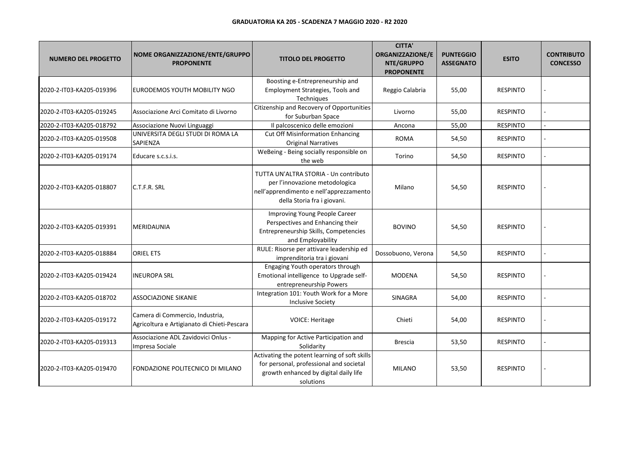| <b>NUMERO DEL PROGETTO</b> | NOME ORGANIZZAZIONE/ENTE/GRUPPO<br><b>PROPONENTE</b>                           | <b>TITOLO DEL PROGETTO</b>                                                                                                                        | <b>CITTA'</b><br><b>ORGANIZZAZIONE/E</b><br>NTE/GRUPPO<br><b>PROPONENTE</b> | <b>PUNTEGGIO</b><br><b>ASSEGNATO</b> | <b>ESITO</b>    | <b>CONTRIBUTO</b><br><b>CONCESSO</b> |
|----------------------------|--------------------------------------------------------------------------------|---------------------------------------------------------------------------------------------------------------------------------------------------|-----------------------------------------------------------------------------|--------------------------------------|-----------------|--------------------------------------|
| 2020-2-IT03-KA205-019396   | EURODEMOS YOUTH MOBILITY NGO                                                   | Boosting e-Entrepreneurship and<br>Employment Strategies, Tools and<br>Techniques                                                                 | Reggio Calabria                                                             | 55,00                                | <b>RESPINTO</b> |                                      |
| 2020-2-IT03-KA205-019245   | Associazione Arci Comitato di Livorno                                          | Citizenship and Recovery of Opportunities<br>for Suburban Space                                                                                   | Livorno                                                                     | 55,00                                | <b>RESPINTO</b> |                                      |
| 2020-2-IT03-KA205-018792   | Associazione Nuovi Linguaggi                                                   | Il palcoscenico delle emozioni                                                                                                                    | Ancona                                                                      | 55,00                                | <b>RESPINTO</b> |                                      |
| 2020-2-IT03-KA205-019508   | UNIVERSITA DEGLI STUDI DI ROMA LA<br>SAPIENZA                                  | <b>Cut Off Misinformation Enhancing</b><br><b>Original Narratives</b>                                                                             | <b>ROMA</b>                                                                 | 54,50                                | <b>RESPINTO</b> |                                      |
| 2020-2-IT03-KA205-019174   | Educare s.c.s.i.s.                                                             | WeBeing - Being socially responsible on<br>the web                                                                                                | Torino                                                                      | 54,50                                | <b>RESPINTO</b> |                                      |
| 2020-2-IT03-KA205-018807   | IC.T.F.R. SRL                                                                  | TUTTA UN'ALTRA STORIA - Un contributo<br>per l'innovazione metodologica<br>nell'apprendimento e nell'apprezzamento<br>della Storia fra i giovani. | Milano                                                                      | 54,50                                | <b>RESPINTO</b> |                                      |
| 2020-2-IT03-KA205-019391   | <b>MERIDAUNIA</b>                                                              | Improving Young People Career<br>Perspectives and Enhancing their<br>Entrepreneurship Skills, Competencies<br>and Employability                   | <b>BOVINO</b>                                                               | 54,50                                | <b>RESPINTO</b> |                                      |
| 2020-2-IT03-KA205-018884   | <b>ORIEL ETS</b>                                                               | RULE: Risorse per attivare leadership ed<br>imprenditoria tra i giovani                                                                           | Dossobuono, Verona                                                          | 54,50                                | <b>RESPINTO</b> |                                      |
| 2020-2-IT03-KA205-019424   | <b>INEUROPA SRL</b>                                                            | Engaging Youth operators through<br>Emotional intelligence to Upgrade self-<br>entrepreneurship Powers                                            | <b>MODENA</b>                                                               | 54,50                                | <b>RESPINTO</b> |                                      |
| 2020-2-IT03-KA205-018702   | <b>ASSOCIAZIONE SIKANIE</b>                                                    | Integration 101: Youth Work for a More<br><b>Inclusive Society</b>                                                                                | <b>SINAGRA</b>                                                              | 54,00                                | <b>RESPINTO</b> |                                      |
| 2020-2-IT03-KA205-019172   | Camera di Commercio, Industria,<br>Agricoltura e Artigianato di Chieti-Pescara | VOICE: Heritage                                                                                                                                   | Chieti                                                                      | 54,00                                | <b>RESPINTO</b> |                                      |
| 2020-2-IT03-KA205-019313   | Associazione ADL Zavidovici Onlus -<br>Impresa Sociale                         | Mapping for Active Participation and<br>Solidarity                                                                                                | <b>Brescia</b>                                                              | 53,50                                | <b>RESPINTO</b> |                                      |
| 2020-2-IT03-KA205-019470   | FONDAZIONE POLITECNICO DI MILANO                                               | Activating the potent learning of soft skills<br>for personal, professional and societal<br>growth enhanced by digital daily life<br>solutions    | <b>MILANO</b>                                                               | 53,50                                | <b>RESPINTO</b> |                                      |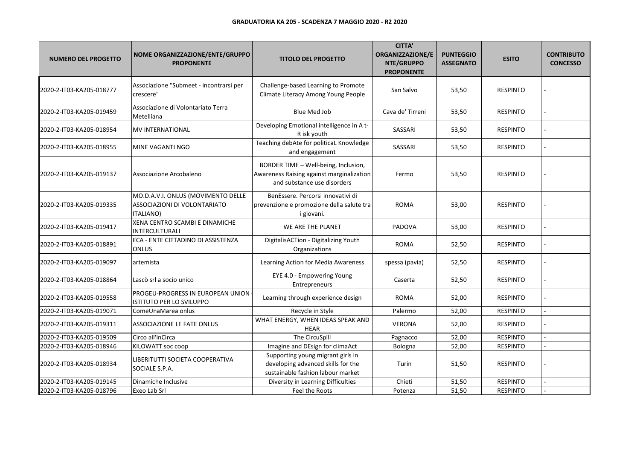| <b>NUMERO DEL PROGETTO</b> | NOME ORGANIZZAZIONE/ENTE/GRUPPO<br><b>PROPONENTE</b>                                   | <b>TITOLO DEL PROGETTO</b>                                                                                       | <b>CITTA'</b><br>ORGANIZZAZIONE/E<br>NTE/GRUPPO<br><b>PROPONENTE</b> | <b>PUNTEGGIO</b><br><b>ASSEGNATO</b> | <b>ESITO</b>    | <b>CONTRIBUTO</b><br><b>CONCESSO</b> |
|----------------------------|----------------------------------------------------------------------------------------|------------------------------------------------------------------------------------------------------------------|----------------------------------------------------------------------|--------------------------------------|-----------------|--------------------------------------|
| 2020-2-IT03-KA205-018777   | Associazione "Submeet - incontrarsi per<br>crescere"                                   | Challenge-based Learning to Promote<br>Climate Literacy Among Young People                                       | San Salvo                                                            | 53,50                                | <b>RESPINTO</b> |                                      |
| 2020-2-IT03-KA205-019459   | Associazione di Volontariato Terra<br>Metelliana                                       | Blue Med Job                                                                                                     | Cava de' Tirreni                                                     | 53,50                                | <b>RESPINTO</b> |                                      |
| 2020-2-IT03-KA205-018954   | IMV INTERNATIONAL                                                                      | Developing Emotional intelligence in A t-<br>R isk youth                                                         | SASSARI                                                              | 53,50                                | <b>RESPINTO</b> |                                      |
| 2020-2-IT03-KA205-018955   | MINE VAGANTI NGO                                                                       | Teaching debAte for politicaL Knowledge<br>and engagement                                                        | SASSARI                                                              | 53,50                                | <b>RESPINTO</b> |                                      |
| 2020-2-IT03-KA205-019137   | Associazione Arcobaleno                                                                | BORDER TIME - Well-being, Inclusion,<br>Awareness Raising against marginalization<br>and substance use disorders | Fermo                                                                | 53,50                                | <b>RESPINTO</b> |                                      |
| 2020-2-IT03-KA205-019335   | MO.D.A.V.I. ONLUS (MOVIMENTO DELLE<br>ASSOCIAZIONI DI VOLONTARIATO<br><b>ITALIANO)</b> | BenEssere. Percorsi innovativi di<br>prevenzione e promozione della salute tra<br>i giovani.                     | <b>ROMA</b>                                                          | 53,00                                | <b>RESPINTO</b> |                                      |
| 2020-2-IT03-KA205-019417   | <b>XENA CENTRO SCAMBI E DINAMICHE</b><br>INTERCULTURALI                                | WE ARE THE PLANET                                                                                                | PADOVA                                                               | 53,00                                | <b>RESPINTO</b> |                                      |
| 2020-2-IT03-KA205-018891   | ECA - ENTE CITTADINO DI ASSISTENZA<br><b>ONLUS</b>                                     | DigitalisACTion - Digitalizing Youth<br>Organizations                                                            | <b>ROMA</b>                                                          | 52,50                                | <b>RESPINTO</b> |                                      |
| 2020-2-IT03-KA205-019097   | artemista                                                                              | Learning Action for Media Awareness                                                                              | spessa (pavia)                                                       | 52,50                                | <b>RESPINTO</b> |                                      |
| 2020-2-IT03-KA205-018864   | Lascò srl a socio unico                                                                | EYE 4.0 - Empowering Young<br>Entrepreneurs                                                                      | Caserta                                                              | 52,50                                | <b>RESPINTO</b> |                                      |
| 2020-2-IT03-KA205-019558   | PROGEU-PROGRESS IN EUROPEAN UNION<br>ISTITUTO PER LO SVILUPPO                          | Learning through experience design                                                                               | <b>ROMA</b>                                                          | 52,00                                | <b>RESPINTO</b> |                                      |
| 2020-2-IT03-KA205-019071   | ComeUnaMarea onlus                                                                     | Recycle in Style                                                                                                 | Palermo                                                              | 52,00                                | <b>RESPINTO</b> |                                      |
| 2020-2-IT03-KA205-019311   | ASSOCIAZIONE LE FATE ONLUS                                                             | WHAT ENERGY, WHEN IDEAS SPEAK AND<br><b>HEAR</b>                                                                 | <b>VERONA</b>                                                        | 52,00                                | <b>RESPINTO</b> |                                      |
| 2020-2-IT03-KA205-019509   | Circo all'inCirca                                                                      | The CircuSpill                                                                                                   | Pagnacco                                                             | 52,00                                | <b>RESPINTO</b> |                                      |
| 2020-2-IT03-KA205-018946   | KILOWATT soc coop                                                                      | Imagine and DEsign for climaAct                                                                                  | Bologna                                                              | 52,00                                | <b>RESPINTO</b> |                                      |
| 2020-2-IT03-KA205-018934   | LIBERITUTTI SOCIETA COOPERATIVA<br>SOCIALE S.P.A.                                      | Supporting young migrant girls in<br>developing advanced skills for the<br>sustainable fashion labour market     | Turin                                                                | 51,50                                | <b>RESPINTO</b> |                                      |
| 2020-2-IT03-KA205-019145   | Dinamiche Inclusive                                                                    | Diversity in Learning Difficulties                                                                               | Chieti                                                               | 51,50                                | <b>RESPINTO</b> |                                      |
| 2020-2-IT03-KA205-018796   | Exeo Lab Srl                                                                           | Feel the Roots                                                                                                   | Potenza                                                              | 51,50                                | <b>RESPINTO</b> |                                      |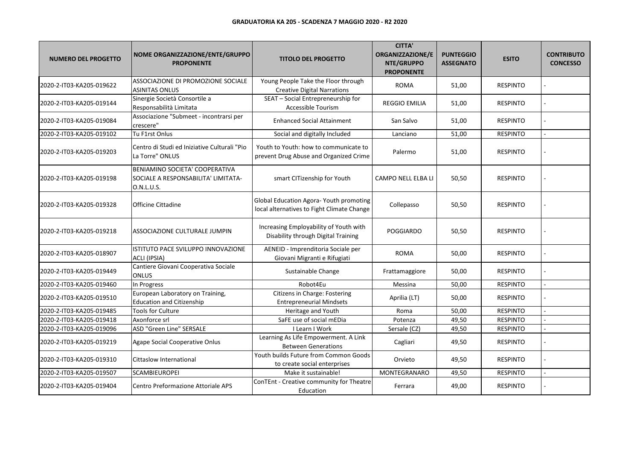| <b>NUMERO DEL PROGETTO</b> | NOME ORGANIZZAZIONE/ENTE/GRUPPO<br><b>PROPONENTE</b>                                | <b>TITOLO DEL PROGETTO</b>                                                            | <b>CITTA'</b><br>ORGANIZZAZIONE/E<br>NTE/GRUPPO<br><b>PROPONENTE</b> | <b>PUNTEGGIO</b><br><b>ASSEGNATO</b> | <b>ESITO</b>    | <b>CONTRIBUTO</b><br><b>CONCESSO</b> |
|----------------------------|-------------------------------------------------------------------------------------|---------------------------------------------------------------------------------------|----------------------------------------------------------------------|--------------------------------------|-----------------|--------------------------------------|
| 2020-2-IT03-KA205-019622   | ASSOCIAZIONE DI PROMOZIONE SOCIALE<br><b>ASINITAS ONLUS</b>                         | Young People Take the Floor through<br><b>Creative Digital Narrations</b>             | <b>ROMA</b>                                                          | 51,00                                | <b>RESPINTO</b> |                                      |
| 2020-2-IT03-KA205-019144   | Sinergie Società Consortile a<br>Responsabilità Limitata                            | SEAT - Social Entrepreneurship for<br>Accessible Tourism                              | <b>REGGIO EMILIA</b>                                                 | 51,00                                | <b>RESPINTO</b> |                                      |
| 2020-2-IT03-KA205-019084   | Associazione "Submeet - incontrarsi per<br>crescere"                                | <b>Enhanced Social Attainment</b>                                                     | San Salvo                                                            | 51,00                                | <b>RESPINTO</b> |                                      |
| 2020-2-IT03-KA205-019102   | Tu F1rst Onlus                                                                      | Social and digitally Included                                                         | Lanciano                                                             | 51,00                                | <b>RESPINTO</b> |                                      |
| 2020-2-IT03-KA205-019203   | Centro di Studi ed Iniziative Culturali "Pio<br>La Torre" ONLUS                     | Youth to Youth: how to communicate to<br>prevent Drug Abuse and Organized Crime       | Palermo                                                              | 51,00                                | <b>RESPINTO</b> |                                      |
| 2020-2-IT03-KA205-019198   | BENIAMINO SOCIETA' COOPERATIVA<br>SOCIALE A RESPONSABILITA' LIMITATA-<br>O.N.L.U.S. | smart CITizenship for Youth                                                           | CAMPO NELL ELBA LI                                                   | 50,50                                | <b>RESPINTO</b> |                                      |
| 2020-2-IT03-KA205-019328   | Officine Cittadine                                                                  | Global Education Agora- Youth promoting<br>local alternatives to Fight Climate Change | Collepasso                                                           | 50,50                                | <b>RESPINTO</b> |                                      |
| 2020-2-IT03-KA205-019218   | ASSOCIAZIONE CULTURALE JUMPIN                                                       | Increasing Employability of Youth with<br>Disability through Digital Training         | <b>POGGIARDO</b>                                                     | 50,50                                | <b>RESPINTO</b> |                                      |
| 2020-2-IT03-KA205-018907   | ISTITUTO PACE SVILUPPO INNOVAZIONE<br>ACLI (IPSIA)                                  | AENEID - Imprenditoria Sociale per<br>Giovani Migranti e Rifugiati                    | <b>ROMA</b>                                                          | 50,00                                | <b>RESPINTO</b> |                                      |
| 2020-2-IT03-KA205-019449   | Cantiere Giovani Cooperativa Sociale<br><b>ONLUS</b>                                | Sustainable Change                                                                    | Frattamaggiore                                                       | 50,00                                | <b>RESPINTO</b> |                                      |
| 2020-2-IT03-KA205-019460   | In Progress                                                                         | Robot4Eu                                                                              | Messina                                                              | 50,00                                | <b>RESPINTO</b> |                                      |
| 2020-2-IT03-KA205-019510   | European Laboratory on Training,<br><b>Education and Citizenship</b>                | Citizens in Charge: Fostering<br><b>Entrepreneurial Mindsets</b>                      | Aprilia (LT)                                                         | 50,00                                | <b>RESPINTO</b> |                                      |
| 2020-2-IT03-KA205-019485   | Tools for Culture                                                                   | Heritage and Youth                                                                    | Roma                                                                 | 50,00                                | <b>RESPINTO</b> |                                      |
| 2020-2-IT03-KA205-019418   | Axonforce srl                                                                       | SaFE use of social mEDia                                                              | Potenza                                                              | 49,50                                | <b>RESPINTO</b> |                                      |
| 2020-2-IT03-KA205-019096   | ASD "Green Line" SERSALE                                                            | I Learn I Work                                                                        | Sersale (CZ)                                                         | 49,50                                | <b>RESPINTO</b> |                                      |
| 2020-2-IT03-KA205-019219   | Agape Social Cooperative Onlus                                                      | Learning As Life Empowerment. A Link<br><b>Between Generations</b>                    | Cagliari                                                             | 49,50                                | <b>RESPINTO</b> |                                      |
| 2020-2-IT03-KA205-019310   | <b>Cittaslow International</b>                                                      | Youth builds Future from Common Goods<br>to create social enterprises                 | Orvieto                                                              | 49,50                                | <b>RESPINTO</b> |                                      |
| 2020-2-IT03-KA205-019507   | SCAMBIEUROPEI                                                                       | Make it sustainable!                                                                  | MONTEGRANARO                                                         | 49,50                                | <b>RESPINTO</b> |                                      |
| 2020-2-IT03-KA205-019404   | Centro Preformazione Attoriale APS                                                  | ConTEnt - Creative community for Theatre<br>Education                                 | Ferrara                                                              | 49,00                                | <b>RESPINTO</b> |                                      |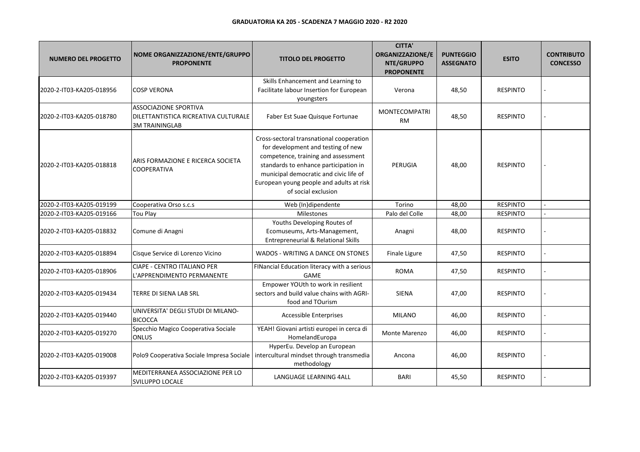| <b>NUMERO DEL PROGETTO</b> | NOME ORGANIZZAZIONE/ENTE/GRUPPO<br><b>PROPONENTE</b>                                          | <b>TITOLO DEL PROGETTO</b>                                                                                                                                                                                                                                                  | <b>CITTA'</b><br><b>ORGANIZZAZIONE/E</b><br>NTE/GRUPPO<br><b>PROPONENTE</b> | <b>PUNTEGGIO</b><br><b>ASSEGNATO</b> | <b>ESITO</b>    | <b>CONTRIBUTO</b><br><b>CONCESSO</b> |
|----------------------------|-----------------------------------------------------------------------------------------------|-----------------------------------------------------------------------------------------------------------------------------------------------------------------------------------------------------------------------------------------------------------------------------|-----------------------------------------------------------------------------|--------------------------------------|-----------------|--------------------------------------|
| 2020-2-IT03-KA205-018956   | <b>COSP VERONA</b>                                                                            | Skills Enhancement and Learning to<br>Facilitate labour Insertion for European<br>youngsters                                                                                                                                                                                | Verona                                                                      | 48,50                                | <b>RESPINTO</b> |                                      |
| 2020-2-IT03-KA205-018780   | <b>ASSOCIAZIONE SPORTIVA</b><br>DILETTANTISTICA RICREATIVA CULTURALE<br><b>3M TRAININGLAB</b> | Faber Est Suae Quisque Fortunae                                                                                                                                                                                                                                             | <b>MONTECOMPATRI</b><br><b>RM</b>                                           | 48,50                                | <b>RESPINTO</b> |                                      |
| 2020-2-IT03-KA205-018818   | ARIS FORMAZIONE E RICERCA SOCIETA<br><b>COOPERATIVA</b>                                       | Cross-sectoral transnational cooperation<br>for development and testing of new<br>competence, training and assessment<br>standards to enhance participation in<br>municipal democratic and civic life of<br>European young people and adults at risk<br>of social exclusion | PERUGIA                                                                     | 48,00                                | <b>RESPINTO</b> |                                      |
| 2020-2-IT03-KA205-019199   | Cooperativa Orso s.c.s                                                                        | Web (In)dipendente                                                                                                                                                                                                                                                          | Torino                                                                      | 48,00                                | <b>RESPINTO</b> |                                      |
| 2020-2-IT03-KA205-019166   | <b>Tou Play</b>                                                                               | Milestones                                                                                                                                                                                                                                                                  | Palo del Colle                                                              | 48,00                                | <b>RESPINTO</b> |                                      |
| 2020-2-IT03-KA205-018832   | Comune di Anagni                                                                              | Youths Developing Routes of<br>Ecomuseums, Arts-Management,<br>Entrepreneurial & Relational Skills                                                                                                                                                                          | Anagni                                                                      | 48,00                                | <b>RESPINTO</b> |                                      |
| 2020-2-IT03-KA205-018894   | Cisque Service di Lorenzo Vicino                                                              | WADOS - WRITING A DANCE ON STONES                                                                                                                                                                                                                                           | Finale Ligure                                                               | 47,50                                | <b>RESPINTO</b> |                                      |
| 2020-2-IT03-KA205-018906   | <b>CIAPE - CENTRO ITALIANO PER</b><br>L'APPRENDIMENTO PERMANENTE                              | FINancial Education literacy with a serious<br><b>GAME</b>                                                                                                                                                                                                                  | <b>ROMA</b>                                                                 | 47,50                                | <b>RESPINTO</b> |                                      |
| 2020-2-IT03-KA205-019434   | TERRE DI SIENA LAB SRL                                                                        | Empower YOUth to work in resilient<br>sectors and build value chains with AGRI-<br>food and TOurism                                                                                                                                                                         | <b>SIENA</b>                                                                | 47,00                                | <b>RESPINTO</b> |                                      |
| 2020-2-IT03-KA205-019440   | UNIVERSITA' DEGLI STUDI DI MILANO-<br><b>BICOCCA</b>                                          | Accessible Enterprises                                                                                                                                                                                                                                                      | <b>MILANO</b>                                                               | 46,00                                | <b>RESPINTO</b> |                                      |
| 2020-2-IT03-KA205-019270   | Specchio Magico Cooperativa Sociale<br><b>ONLUS</b>                                           | YEAH! Giovani artisti europei in cerca di<br>HomelandEuropa                                                                                                                                                                                                                 | Monte Marenzo                                                               | 46,00                                | <b>RESPINTO</b> |                                      |
| 2020-2-IT03-KA205-019008   | Polo9 Cooperativa Sociale Impresa Sociale                                                     | HyperEu. Develop an European<br>intercultural mindset through transmedia<br>methodology                                                                                                                                                                                     | Ancona                                                                      | 46,00                                | <b>RESPINTO</b> |                                      |
| 2020-2-IT03-KA205-019397   | MEDITERRANEA ASSOCIAZIONE PER LO<br>SVILUPPO LOCALE                                           | LANGUAGE LEARNING 4ALL                                                                                                                                                                                                                                                      | <b>BARI</b>                                                                 | 45,50                                | <b>RESPINTO</b> |                                      |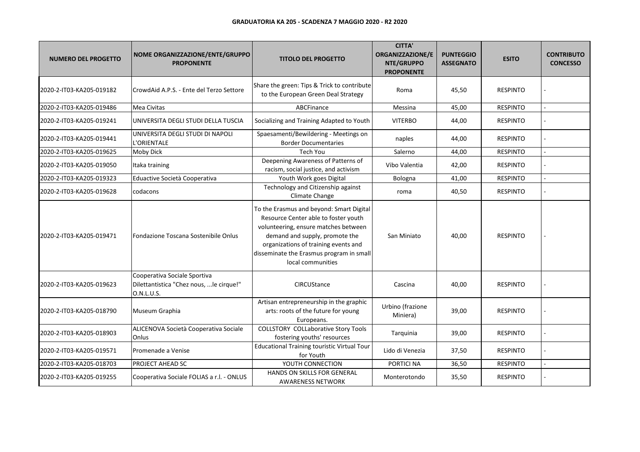| <b>NUMERO DEL PROGETTO</b> | NOME ORGANIZZAZIONE/ENTE/GRUPPO<br><b>PROPONENTE</b>                                   | <b>TITOLO DEL PROGETTO</b>                                                                                                                                                                                                                                          | <b>CITTA'</b><br><b>ORGANIZZAZIONE/E</b><br>NTE/GRUPPO<br><b>PROPONENTE</b> | <b>PUNTEGGIO</b><br><b>ASSEGNATO</b> | <b>ESITO</b>    | <b>CONTRIBUTO</b><br><b>CONCESSO</b> |
|----------------------------|----------------------------------------------------------------------------------------|---------------------------------------------------------------------------------------------------------------------------------------------------------------------------------------------------------------------------------------------------------------------|-----------------------------------------------------------------------------|--------------------------------------|-----------------|--------------------------------------|
| 2020-2-IT03-KA205-019182   | CrowdAid A.P.S. - Ente del Terzo Settore                                               | Share the green: Tips & Trick to contribute<br>to the European Green Deal Strategy                                                                                                                                                                                  | Roma                                                                        | 45,50                                | <b>RESPINTO</b> |                                      |
| 2020-2-IT03-KA205-019486   | Mea Civitas                                                                            | ABCFinance                                                                                                                                                                                                                                                          | Messina                                                                     | 45,00                                | <b>RESPINTO</b> |                                      |
| 2020-2-IT03-KA205-019241   | UNIVERSITA DEGLI STUDI DELLA TUSCIA                                                    | Socializing and Training Adapted to Youth                                                                                                                                                                                                                           | <b>VITERBO</b>                                                              | 44,00                                | <b>RESPINTO</b> |                                      |
| 2020-2-IT03-KA205-019441   | UNIVERSITA DEGLI STUDI DI NAPOLI<br>L'ORIENTALE                                        | Spaesamenti/Bewildering - Meetings on<br><b>Border Documentaries</b>                                                                                                                                                                                                | naples                                                                      | 44,00                                | <b>RESPINTO</b> |                                      |
| 2020-2-IT03-KA205-019625   | <b>Moby Dick</b>                                                                       | <b>Tech You</b>                                                                                                                                                                                                                                                     | Salerno                                                                     | 44,00                                | <b>RESPINTO</b> |                                      |
| 2020-2-IT03-KA205-019050   | Itaka training                                                                         | Deepening Awareness of Patterns of<br>racism, social justice, and activism                                                                                                                                                                                          | Vibo Valentia                                                               | 42,00                                | <b>RESPINTO</b> |                                      |
| 2020-2-IT03-KA205-019323   | Eduactive Società Cooperativa                                                          | Youth Work goes Digital                                                                                                                                                                                                                                             | Bologna                                                                     | 41,00                                | <b>RESPINTO</b> |                                      |
| 2020-2-IT03-KA205-019628   | codacons                                                                               | Technology and Citizenship against<br>Climate Change                                                                                                                                                                                                                | roma                                                                        | 40,50                                | <b>RESPINTO</b> |                                      |
| 2020-2-IT03-KA205-019471   | Fondazione Toscana Sostenibile Onlus                                                   | To the Erasmus and beyond: Smart Digital<br>Resource Center able to foster youth<br>volunteering, ensure matches between<br>demand and supply, promote the<br>organizations of training events and<br>disseminate the Erasmus program in small<br>local communities | San Miniato                                                                 | 40,00                                | <b>RESPINTO</b> |                                      |
| 2020-2-IT03-KA205-019623   | Cooperativa Sociale Sportiva<br>Dilettantistica "Chez nous,  le cirque!"<br>O.N.L.U.S. | CIRCUStance                                                                                                                                                                                                                                                         | Cascina                                                                     | 40,00                                | <b>RESPINTO</b> |                                      |
| 2020-2-IT03-KA205-018790   | Museum Graphia                                                                         | Artisan entrepreneurship in the graphic<br>arts: roots of the future for young<br>Europeans.                                                                                                                                                                        | Urbino (frazione<br>Miniera)                                                | 39,00                                | <b>RESPINTO</b> |                                      |
| 2020-2-IT03-KA205-018903   | ALICENOVA Società Cooperativa Sociale<br>Onlus                                         | <b>COLLSTORY COLLaborative Story Tools</b><br>fostering youths' resources                                                                                                                                                                                           | Tarquinia                                                                   | 39,00                                | <b>RESPINTO</b> |                                      |
| 2020-2-IT03-KA205-019571   | Promenade a Venise                                                                     | <b>Educational Training touristic Virtual Tour</b><br>for Youth                                                                                                                                                                                                     | Lido di Venezia                                                             | 37,50                                | <b>RESPINTO</b> |                                      |
| 2020-2-IT03-KA205-018703   | <b>PROJECT AHEAD SC</b>                                                                | YOUTH CONNECTION                                                                                                                                                                                                                                                    | PORTICI NA                                                                  | 36,50                                | <b>RESPINTO</b> |                                      |
| 2020-2-IT03-KA205-019255   | Cooperativa Sociale FOLIAS a r.l. - ONLUS                                              | HANDS ON SKILLS FOR GENERAL<br><b>AWARENESS NETWORK</b>                                                                                                                                                                                                             | Monterotondo                                                                | 35,50                                | <b>RESPINTO</b> |                                      |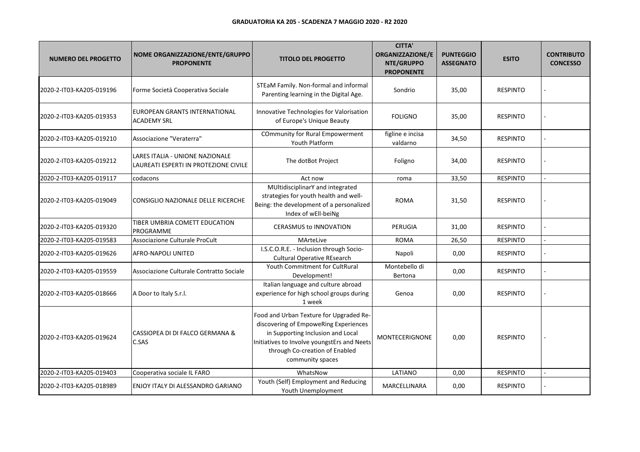| <b>NUMERO DEL PROGETTO</b> | NOME ORGANIZZAZIONE/ENTE/GRUPPO<br><b>PROPONENTE</b>                     | <b>TITOLO DEL PROGETTO</b>                                                                                                                                                                                                 | <b>CITTA'</b><br>ORGANIZZAZIONE/E<br>NTE/GRUPPO<br><b>PROPONENTE</b> | <b>PUNTEGGIO</b><br><b>ASSEGNATO</b> | <b>ESITO</b>    | <b>CONTRIBUTO</b><br><b>CONCESSO</b> |
|----------------------------|--------------------------------------------------------------------------|----------------------------------------------------------------------------------------------------------------------------------------------------------------------------------------------------------------------------|----------------------------------------------------------------------|--------------------------------------|-----------------|--------------------------------------|
| 2020-2-IT03-KA205-019196   | Forme Società Cooperativa Sociale                                        | STEaM Family. Non-formal and informal<br>Parenting learning in the Digital Age.                                                                                                                                            | Sondrio                                                              | 35,00                                | <b>RESPINTO</b> |                                      |
| 2020-2-IT03-KA205-019353   | EUROPEAN GRANTS INTERNATIONAL<br><b>ACADEMY SRL</b>                      | Innovative Technologies for Valorisation<br>of Europe's Unique Beauty                                                                                                                                                      | <b>FOLIGNO</b>                                                       | 35,00                                | <b>RESPINTO</b> |                                      |
| 2020-2-IT03-KA205-019210   | Associazione "Veraterra"                                                 | <b>COmmunity for Rural Empowerment</b><br>Youth Platform                                                                                                                                                                   | figline e incisa<br>valdarno                                         | 34,50                                | <b>RESPINTO</b> |                                      |
| 2020-2-IT03-KA205-019212   | LARES ITALIA - UNIONE NAZIONALE<br>LAUREATI ESPERTI IN PROTEZIONE CIVILE | The dotBot Project                                                                                                                                                                                                         | Foligno                                                              | 34,00                                | <b>RESPINTO</b> |                                      |
| 2020-2-IT03-KA205-019117   | codacons                                                                 | Act now                                                                                                                                                                                                                    | roma                                                                 | 33,50                                | <b>RESPINTO</b> |                                      |
| 2020-2-IT03-KA205-019049   | CONSIGLIO NAZIONALE DELLE RICERCHE                                       | MUltidisciplinarY and integrated<br>strategies for youth health and well-<br>Being: the development of a personalized<br>Index of wEll-beiNg                                                                               | <b>ROMA</b>                                                          | 31,50                                | <b>RESPINTO</b> |                                      |
| 2020-2-IT03-KA205-019320   | TIBER UMBRIA COMETT EDUCATION<br>PROGRAMME                               | <b>CERASMUS to INNOVATION</b>                                                                                                                                                                                              | PERUGIA                                                              | 31,00                                | <b>RESPINTO</b> |                                      |
| 2020-2-IT03-KA205-019583   | Associazione Culturale ProCult                                           | MArteLive                                                                                                                                                                                                                  | <b>ROMA</b>                                                          | 26,50                                | <b>RESPINTO</b> |                                      |
| 2020-2-IT03-KA205-019626   | AFRO-NAPOLI UNITED                                                       | I.S.C.O.R.E. - Inclusion through Socio-<br><b>Cultural Operative REsearch</b>                                                                                                                                              | Napoli                                                               | 0,00                                 | <b>RESPINTO</b> |                                      |
| 2020-2-IT03-KA205-019559   | Associazione Culturale Contratto Sociale                                 | Youth Commitment for CultRural<br>Development!                                                                                                                                                                             | Montebello di<br>Bertona                                             | 0,00                                 | <b>RESPINTO</b> |                                      |
| 2020-2-IT03-KA205-018666   | A Door to Italy S.r.l.                                                   | Italian language and culture abroad<br>experience for high school groups during<br>1 week                                                                                                                                  | Genoa                                                                | 0,00                                 | <b>RESPINTO</b> |                                      |
| 2020-2-IT03-KA205-019624   | CASSIOPEA DI DI FALCO GERMANA &<br>C.SAS                                 | Food and Urban Texture for Upgraded Re-<br>discovering of EmpoweRing Experiences<br>in Supporting Inclusion and Local<br>Initiatives to Involve youngstErs and Neets<br>through Co-creation of Enabled<br>community spaces | <b>MONTECERIGNONE</b>                                                | 0,00                                 | <b>RESPINTO</b> |                                      |
| 2020-2-IT03-KA205-019403   | Cooperativa sociale IL FARO                                              | WhatsNow                                                                                                                                                                                                                   | LATIANO                                                              | 0,00                                 | <b>RESPINTO</b> |                                      |
| 2020-2-IT03-KA205-018989   | ENJOY ITALY DI ALESSANDRO GARIANO                                        | Youth (Self) Employment and Reducing<br>Youth Unemployment                                                                                                                                                                 | MARCELLINARA                                                         | 0,00                                 | <b>RESPINTO</b> |                                      |